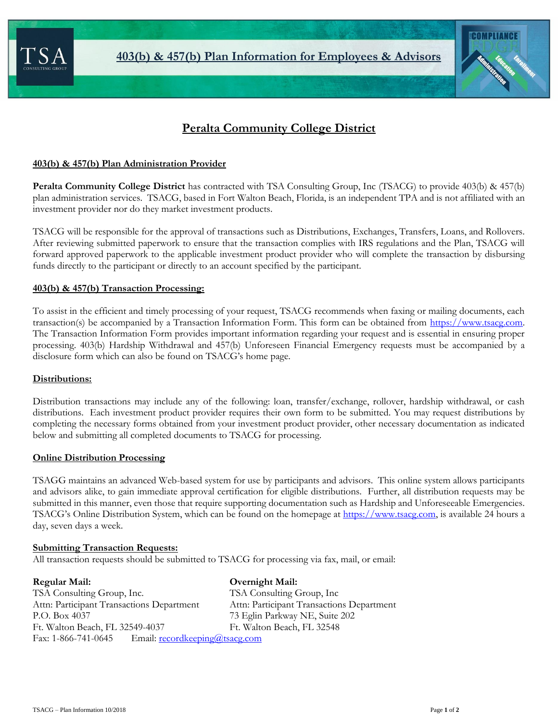



# **Peralta Community College District**

### **403(b) & 457(b) Plan Administration Provider**

**Peralta Community College District** has contracted with TSA Consulting Group, Inc (TSACG) to provide 403(b) & 457(b) plan administration services. TSACG, based in Fort Walton Beach, Florida, is an independent TPA and is not affiliated with an investment provider nor do they market investment products.

TSACG will be responsible for the approval of transactions such as Distributions, Exchanges, Transfers, Loans, and Rollovers. After reviewing submitted paperwork to ensure that the transaction complies with IRS regulations and the Plan, TSACG will forward approved paperwork to the applicable investment product provider who will complete the transaction by disbursing funds directly to the participant or directly to an account specified by the participant.

### **403(b) & 457(b) Transaction Processing:**

To assist in the efficient and timely processing of your request, TSACG recommends when faxing or mailing documents, each transaction(s) be accompanied by a Transaction Information Form. This form can be obtained from [https://www.tsacg.com.](https://www.tsacg.com/) The Transaction Information Form provides important information regarding your request and is essential in ensuring proper processing. 403(b) Hardship Withdrawal and 457(b) Unforeseen Financial Emergency requests must be accompanied by a disclosure form which can also be found on TSACG's home page.

#### **Distributions:**

Distribution transactions may include any of the following: loan, transfer/exchange, rollover, hardship withdrawal, or cash distributions. Each investment product provider requires their own form to be submitted. You may request distributions by completing the necessary forms obtained from your investment product provider, other necessary documentation as indicated below and submitting all completed documents to TSACG for processing.

#### **Online Distribution Processing**

TSAGG maintains an advanced Web-based system for use by participants and advisors. This online system allows participants and advisors alike, to gain immediate approval certification for eligible distributions. Further, all distribution requests may be submitted in this manner, even those that require supporting documentation such as Hardship and Unforeseeable Emergencies. TSACG's Online Distribution System, which can be found on the homepage at [https://www.tsacg.com,](https://www.tsacg.com/) is available 24 hours a day, seven days a week.

#### **Submitting Transaction Requests:**

All transaction requests should be submitted to TSACG for processing via fax, mail, or email:

## **Regular Mail: Overnight Mail:**

TSA Consulting Group, Inc. TSA Consulting Group, Inc Attn: Participant Transactions Department Attn: Participant Transactions Department P.O. Box 4037 73 Eglin Parkway NE, Suite 202 Ft. Walton Beach, FL 32549-4037 Ft. Walton Beach, FL 32548 Fax: 1-866-741-0645 Email: [recordkeeping@tsacg.com](mailto:recordkeeping@tsacg.com)